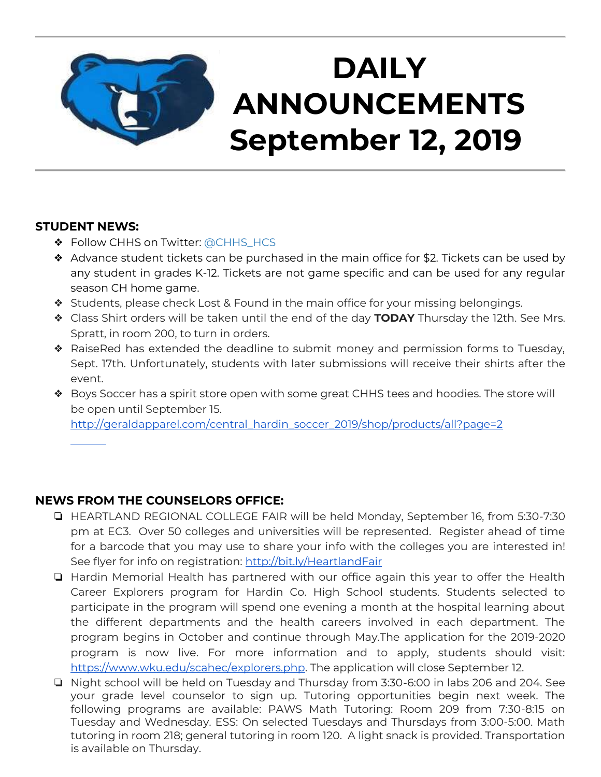

#### **STUDENT NEWS:**

- ❖ Follow CHHS on Twitter: [@CHHS\\_HCS](https://twitter.com/CHHS_HCS)
- ❖ Advance student tickets can be purchased in the main office for \$2. Tickets can be used by any student in grades K-12. Tickets are not game specific and can be used for any regular season CH home game.
- ❖ Students, please check Lost & Found in the main office for your missing belongings.
- ❖ Class Shirt orders will be taken until the end of the day **TODAY** Thursday the 12th. See Mrs. Spratt, in room 200, to turn in orders.
- ❖ RaiseRed has extended the deadline to submit money and permission forms to Tuesday, Sept. 17th. Unfortunately, students with later submissions will receive their shirts after the event.
- ❖ Boys Soccer has a spirit store open with some great CHHS tees and hoodies. The store will be open until September 15.

[http://geraldapparel.com/central\\_hardin\\_soccer\\_2019/shop/products/all?page=2](http://geraldapparel.com/central_hardin_soccer_2019/shop/products/all?page=2) 

### **NEWS FROM THE COUNSELORS OFFICE:**

- ❏ HEARTLAND REGIONAL COLLEGE FAIR will be held Monday, September 16, from 5:30-7:30 pm at EC3. Over 50 colleges and universities will be represented. Register ahead of time for a barcode that you may use to share your info with the colleges you are interested in! See flyer for info on registration:<http://bit.ly/HeartlandFair>
- ❏ Hardin Memorial Health has partnered with our office again this year to offer the Health Career Explorers program for Hardin Co. High School students. Students selected to participate in the program will spend one evening a month at the hospital learning about the different departments and the health careers involved in each department. The program begins in October and continue through May.The application for the 2019-2020 program is now live. For more information and to apply, students should visit: [https://www.wku.edu/scahec/explorers.php.](https://www.wku.edu/scahec/explorers.php) The application will close September 12.
- ❏ Night school will be held on Tuesday and Thursday from 3:30-6:00 in labs 206 and 204. See your grade level counselor to sign up. Tutoring opportunities begin next week. The following programs are available: PAWS Math Tutoring: Room 209 from 7:30-8:15 on Tuesday and Wednesday. ESS: On selected Tuesdays and Thursdays from 3:00-5:00. Math tutoring in room 218; general tutoring in room 120. A light snack is provided. Transportation is available on Thursday.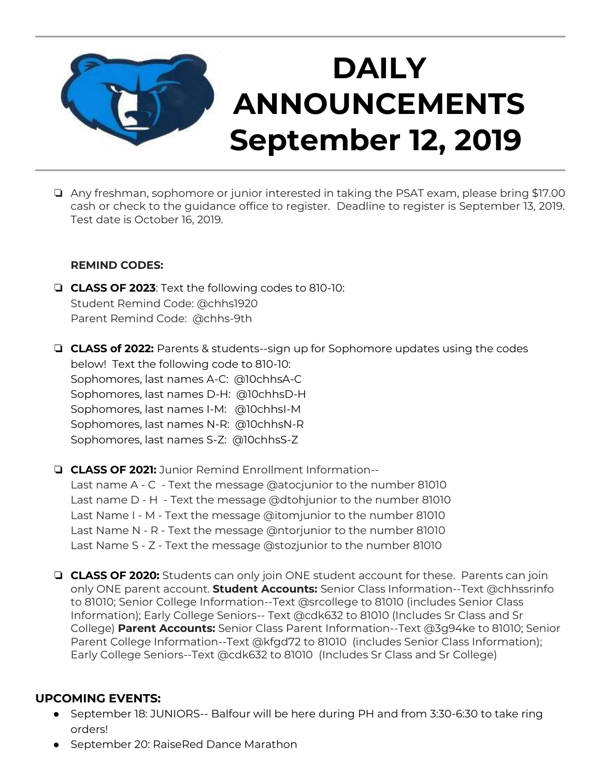

❏ Any freshman, sophomore or junior interested in taking the PSAT exam, please bring \$17.00 cash or check to the guidance office to register. Deadline to register is September 13, 2019. Test date is October 16, 2019.

#### **REMIND CODES:**

- ❏ **CLASS OF 2023**: Text the following codes to 810-10: Student Remind Code: @chhs1920 Parent Remind Code: @chhs-9th
- ❏ **CLASS of 2022:** Parents & students--sign up for Sophomore updates using the codes below! Text the following code to 810-10: Sophomores, last names A-C: @10chhsA-C Sophomores, last names D-H: @10chhsD-H Sophomores, last names I-M: @10chhsI-M Sophomores, last names N-R: @10chhsN-R Sophomores, last names S-Z: @10chhsS-Z
- ❏ **CLASS OF 2021:** Junior Remind Enrollment Information-- Last name A - C - Text the message @atocjunior to the number 81010 Last name D - H - Text the message @dtohjunior to the number 81010 Last Name I - M - Text the message @itomjunior to the number 81010 Last Name N - R - Text the message @ntorjunior to the number 81010 Last Name S - Z - Text the message @stozjunior to the number 81010
- ❏ **CLASS OF 2020:** Students can only join ONE student account for these. Parents can join only ONE parent account. **Student Accounts:** Senior Class Information--Text @chhssrinfo to 81010; Senior College Information--Text @srcollege to 81010 (includes Senior Class Information); Early College Seniors-- Text @cdk632 to 81010 (Includes Sr Class and Sr College) **Parent Accounts:** Senior Class Parent Information--Text @3g94ke to 81010; Senior Parent College Information--Text @kfgd72 to 81010 (includes Senior Class Information); Early College Seniors--Text @cdk632 to 81010 (Includes Sr Class and Sr College)

#### **UPCOMING EVENTS:**

- September 18: JUNIORS-- Balfour will be here during PH and from 3:30-6:30 to take ring orders!
- September 20: RaiseRed Dance Marathon